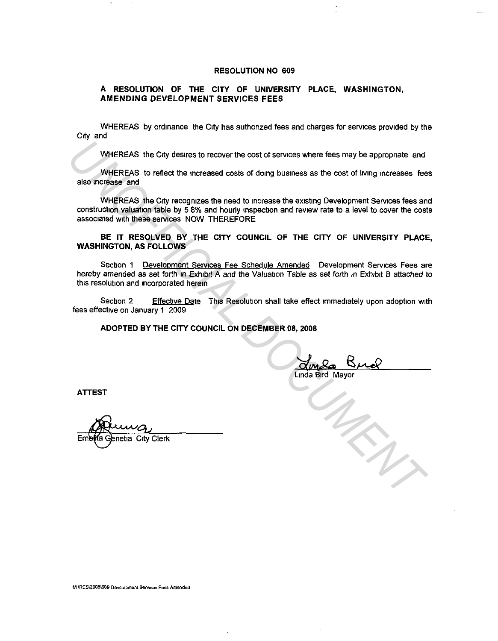#### **RESOLUTION NO 609**

# **A RESOLUTION OF THE CITY OF UNIVERSITY PLACE, WASHINGTON, AMENDING DEVELOPMENT SERVICES FEES**

WHEREAS by ordinance the City has authorized fees and charges for services provided by the City and

WHEREAS the City desires to recover the cost of services where fees may be appropriate and

WHEREAS to reflect the increased costs of doing business as the cost of living increases fees also increase and

WHEREAS the City recognizes the need to increase the existing Development Services fees and construction valuation table by 5 8% and hourly inspection and review rate to a level to cover the costs associated with these services NOW THEREFORE WHEREAS the City desires to recover the cost of services where fees may be appropriate and<br>also increase and<br>also increase and<br>twise the increased costs of doing business as the cost of living increases fee<br>construction va

**BE IT RESOLVED BY THE CITY COUNCIL OF THE CITY OF UNIVERSITY PLACE, WASHINGTON, AS FOLLOWS** 

Section 1 Development Services Fee Schedule Amended Development Services Fees are hereby amended as set forth in Exhibit A and the Valuation Table as set forth in Exhibit B attached to this resolution and incorporated herein

Section 2 Effective Date This Resolution shall take effect immediately upon adoption with fees effective on January 1 2009

**ADOPTED BY THE CITY COUNCIL ON DECEMBER 08, 2008** 

Linda Bird Mayor

**ATTEST**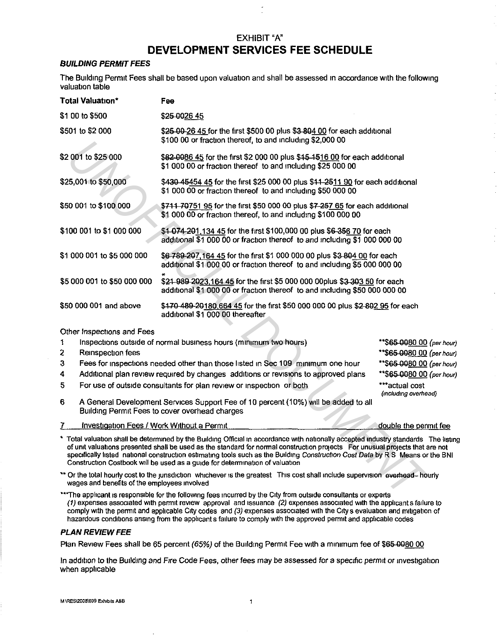# EXHIBIT"A" **DEVELOPMENT SERVICES FEE SCHEDULE**

### **BUILDING PERMIT FEES**

The Building Permit Fees shall be based upon valuation and shall be assessed in accordance with the following valuation table

| Total Valuation*                                                                            | Fee                                                                                                                                                                                                                                                                                                                                                                                                                                                                            |                                                                                                                                                     |  |
|---------------------------------------------------------------------------------------------|--------------------------------------------------------------------------------------------------------------------------------------------------------------------------------------------------------------------------------------------------------------------------------------------------------------------------------------------------------------------------------------------------------------------------------------------------------------------------------|-----------------------------------------------------------------------------------------------------------------------------------------------------|--|
| \$1 00 to \$500                                                                             | \$25 0026 45                                                                                                                                                                                                                                                                                                                                                                                                                                                                   |                                                                                                                                                     |  |
| \$501 to \$2 000                                                                            | \$25-00-26 45 for the first \$500 00 plus \$3-804 00 for each additional<br>\$100.00 or fraction thereof, to and including \$2,000.00                                                                                                                                                                                                                                                                                                                                          |                                                                                                                                                     |  |
| \$2 001 to \$25 000                                                                         | \$82-0086 45 for the first \$2 000 00 plus \$45-1516 00 for each additional<br>\$1 000 00 or fraction thereof to and including \$25 000 00                                                                                                                                                                                                                                                                                                                                     |                                                                                                                                                     |  |
| \$25,001 to \$50,000                                                                        | \$430-45454 45 for the first \$25 000 00 plus \$44-2511 90 for each additional<br>\$1 000 00 or fraction thereof to and including \$50 000 00                                                                                                                                                                                                                                                                                                                                  |                                                                                                                                                     |  |
| \$50 001 to \$100 000                                                                       | \$711 70751 95 for the first \$50 000 00 plus \$7 257 65 for each additional<br>\$1,000,00 or fraction thereof, to and including \$100,000,00                                                                                                                                                                                                                                                                                                                                  |                                                                                                                                                     |  |
| \$100 001 to \$1 000 000                                                                    |                                                                                                                                                                                                                                                                                                                                                                                                                                                                                | \$1 074-201,134 45 for the first \$100,000 00 plus \$6-356 70 for each<br>additional \$1 000 00 or fraction thereof to and including \$1 000 000 00 |  |
| \$1 000 001 to \$5 000 000                                                                  | \$6,789-207,164,45 for the first \$1,000,000,00 plus \$3,804,00 for each<br>additional \$1,000,00 or fraction thereof to and including \$5,000,000,00                                                                                                                                                                                                                                                                                                                          |                                                                                                                                                     |  |
| \$5 000 001 to \$50 000 000                                                                 | \$21-989 2023,164 45 for the first \$5 000 000 00plus \$3 303 50 for each<br>additional \$1 000 00 or fraction thereof to and including \$50 000 000 00                                                                                                                                                                                                                                                                                                                        |                                                                                                                                                     |  |
| \$50 000 001 and above                                                                      | \$470-489-20180,664-45 for the first \$50,000,000 00 plus \$2-802.95 for each<br>additional \$1 000 00 thereafter                                                                                                                                                                                                                                                                                                                                                              |                                                                                                                                                     |  |
| Other Inspections and Fees                                                                  |                                                                                                                                                                                                                                                                                                                                                                                                                                                                                |                                                                                                                                                     |  |
| 1<br>2<br>Reinspection fees<br>3                                                            | Inspections outside of normal business hours (minimum two hours)<br>Fees for inspections needed other than those listed in Sec 109 minimum one hour                                                                                                                                                                                                                                                                                                                            | **\$65-00 <u>80 00</u> (per t<br>**\$65 0080 00 (per t<br>**\$65-0080_00 (per t                                                                     |  |
| 4<br>Additional plan review required by changes additions or revisions to approved plans    |                                                                                                                                                                                                                                                                                                                                                                                                                                                                                | **\$65-0080 00 (per l                                                                                                                               |  |
| 5<br>***actual cost<br>For use of outside consultants for plan review or inspection or both |                                                                                                                                                                                                                                                                                                                                                                                                                                                                                | (including overhead)                                                                                                                                |  |
| 6                                                                                           | A General Development Services Support Fee of 10 percent (10%) will be added to all<br>Building Permit Fees to cover overhead charges                                                                                                                                                                                                                                                                                                                                          |                                                                                                                                                     |  |
| 7<br>Investigation Fees / Work Without a Permit                                             |                                                                                                                                                                                                                                                                                                                                                                                                                                                                                | double the permit fe                                                                                                                                |  |
|                                                                                             | * Total valuation shall be determined by the Building Official in accordance with nationally accepted industry standards The i<br>of unit valuations presented shall be used as the standard for normal construction projects For unusual projects that are no<br>specifically listed national construction estimating tools such as the Building Construction Cost Data by R S Means or the E<br>Construction Costbook will be used as a guide for determination of valuation |                                                                                                                                                     |  |
| wages and benefits of the employees involved                                                | ** Or the total hourly cost to the junsdiction whichever is the greatest This cost shall include supervision everhead-hourly                                                                                                                                                                                                                                                                                                                                                   |                                                                                                                                                     |  |
|                                                                                             | ***The applicant is responsible for the following fees incurred by the City from outside consultants or experts                                                                                                                                                                                                                                                                                                                                                                |                                                                                                                                                     |  |

- 1 Inspections outside of normal business hours (minimum two hours)
- 2 Reinspection fees
- 3 Fees for inspections needed other than those listed 1n Sec 109 minimum one hour
- 4 Additional plan review required by changes additions or revisions to approved plans
- 5 For use of outside consultants for plan review or inspection or both
- 6 A General Development Services Support Fee of 10 percent (10%) will be added to all Building Permit Fees to cover overhead charges
- 7 Investigation Fees / Work Without a Permit

double the permit fee

\*\*\$65-0080 00 (per hour) \*\*\$65-0080 00 (per hour) \*\*\$65-0080 00 (per hour) \*\*\$65-0080 00 (per hour)

- Total valuation shall be determined by the Building Official in accordance with nationally accepted industry standards The listing of unit valuations presented shall be used as the standard for normal construction projects For unusual projects that are not specifically listed national construction estimating tools such as the Building Construction Cost Data by RS Means or the BNI Construction Costbook will be used as a guide for determinabon of valuation
- \*\* Or the total hourly cost to the junsdiction whichever is the greatest This cost shall include supervision evertiesed. hourly wages and benefits of the employees involved
- \*\*\*The applicant is responsible for the following fees incurred by the City from outside consultants or experts (1) expenses associated with permit review approval and issuance (2) expenses associated with the applicants failure to comply with the permit and applicable City codes and (3) expenses associated with the City s evaluation and mitigation of hazardous conditions ansing from the applicants failure to comply with the approved permit and applicable codes

#### **PLAN REVIEW FEE**

Plan Review Fees shall be 65 percent (65%) of the Building Permit Fee with a minimum fee of \$65-0080 00

In addition to the Building and Fire Code Fees, other fees may be assessed for a specific permit or investigation when applicable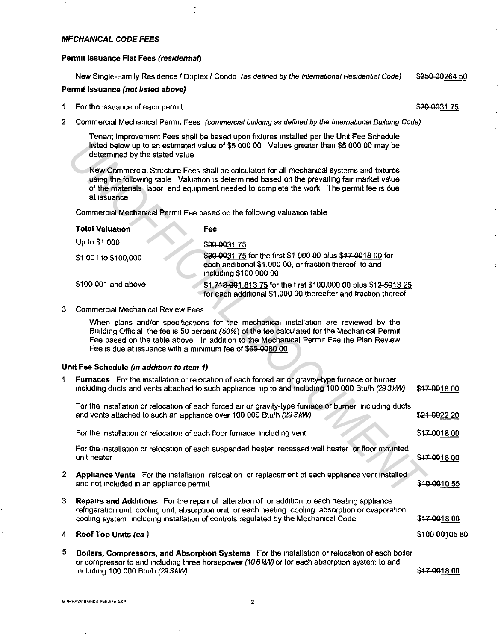#### **MECHANICAL CODE FEES**

#### **Permit Issuance Flat Fees (residential)**

New Single-Family Residence / Duplex / Condo (as defined by the International Residential Code) \$250-00264 50

### **Permit Issuance (not listed above)**

\$30-0031 75

- 1 For the issuance of each permit
- 2 Commercial Mechanical Permit Fees (commercial building as defined by the International Building Code)

Tenant Improvement Fees shall be based upon fixtures installed per the Unit Fee Schedule listed below up to an estimated value of \$5 000 00 Values greater than \$5 000 00 may be determined by the stated value

| <b>Total Valuation</b> | <b>Fee</b>                                                                                                                                      |
|------------------------|-------------------------------------------------------------------------------------------------------------------------------------------------|
| Up to \$1 000          | \$30-003175                                                                                                                                     |
| \$1 001 to \$100,000   | \$30-0031 75 for the first \$1 000 00 plus \$47 0018 00 for<br>each additional \$1,000 00, or fraction thereof to and<br>including \$100 000 00 |
| \$100 001 and above    | \$1,713 001,813 75 for the first \$100,000 00 plus \$12-5013 25<br>for each additional \$1,000 00 thereafter and fraction thereof               |

### 3 Commercial Mechanical Review Fees

### **Umt Fee Schedule (m add1t1on to item** *1)*

|                                                                                                                                                                                                                                                                                                   | listed below up to an estimated value of \$5 000 00 Values greater than \$5 000 00 may be<br>determined by the stated value |                                                                                                                                                                                                                                                                                          |               |
|---------------------------------------------------------------------------------------------------------------------------------------------------------------------------------------------------------------------------------------------------------------------------------------------------|-----------------------------------------------------------------------------------------------------------------------------|------------------------------------------------------------------------------------------------------------------------------------------------------------------------------------------------------------------------------------------------------------------------------------------|---------------|
| New Commercial Structure Fees shall be calculated for all mechanical systems and fixtures<br>using the following table Valuation is determined based on the prevailing fair market value<br>of the materials labor and equipment needed to complete the work The permit fee is due<br>at issuance |                                                                                                                             |                                                                                                                                                                                                                                                                                          |               |
|                                                                                                                                                                                                                                                                                                   |                                                                                                                             | Commercial Mechanical Permit Fee based on the following valuation table                                                                                                                                                                                                                  |               |
|                                                                                                                                                                                                                                                                                                   | <b>Total Valuation</b>                                                                                                      | Fee                                                                                                                                                                                                                                                                                      |               |
|                                                                                                                                                                                                                                                                                                   | Up to \$1 000                                                                                                               | \$30 0031 75                                                                                                                                                                                                                                                                             |               |
|                                                                                                                                                                                                                                                                                                   | \$1 001 to \$100,000                                                                                                        | \$30-0031 75 for the first \$1 000 00 plus \$47 0018 00 for<br>each additional \$1,000 00, or fraction thereof to and<br>including \$100 000 00                                                                                                                                          |               |
|                                                                                                                                                                                                                                                                                                   | \$100 001 and above                                                                                                         | \$1,713 001,813 75 for the first \$100,000 00 plus \$12-5013 25<br>for each additional \$1,000 00 thereafter and fraction thereof                                                                                                                                                        |               |
| 3                                                                                                                                                                                                                                                                                                 | <b>Commercial Mechanical Review Fees</b>                                                                                    |                                                                                                                                                                                                                                                                                          |               |
|                                                                                                                                                                                                                                                                                                   | Fee is due at issuance with a minimum fee of \$65-0080.00                                                                   | When plans and/or specifications for the mechanical installation are reviewed by the<br>Building Official the fee is 50 percent (50%) of the fee calculated for the Mechanical Permit<br>Fee based on the table above In addition to the Mechanical Permit Fee the Plan Review           |               |
|                                                                                                                                                                                                                                                                                                   | Unit Fee Schedule (in addition to item 1)                                                                                   |                                                                                                                                                                                                                                                                                          |               |
| 1                                                                                                                                                                                                                                                                                                 |                                                                                                                             | Furnaces For the installation or relocation of each forced air or gravity-type furnace or burner<br>including ducts and vents attached to such appliance up to and including 100 000 Btu/h (29 3 kW)                                                                                     | \$47-001800   |
|                                                                                                                                                                                                                                                                                                   | and vents attached to such an appliance over 100 000 Btu/h (293 kW)                                                         | For the installation or relocation of each forced air or gravity-type furnace or burner including ducts                                                                                                                                                                                  | \$24 0022 20  |
|                                                                                                                                                                                                                                                                                                   | For the installation or relocation of each floor furnace including vent                                                     |                                                                                                                                                                                                                                                                                          | \$47-0018.00  |
|                                                                                                                                                                                                                                                                                                   | unit heater                                                                                                                 | For the installation or relocation of each suspended heater recessed wall heater or floor mounted                                                                                                                                                                                        | \$47-001800   |
| $\mathbf{2}$                                                                                                                                                                                                                                                                                      | and not included in an appliance permit                                                                                     | Appliance Vents For the installation relocation or replacement of each appliance vent installed                                                                                                                                                                                          | \$10 0010 55  |
| 3                                                                                                                                                                                                                                                                                                 |                                                                                                                             | Repairs and Additions For the repair of alteration of or addition to each heating appliance<br>refrigeration unit cooling unit, absorption unit, or each heating cooling absorption or evaporation<br>cooling system including installation of controls regulated by the Mechanical Code | \$47-001800   |
| 4                                                                                                                                                                                                                                                                                                 | Roof Top Units (ea)                                                                                                         |                                                                                                                                                                                                                                                                                          | \$400-0010580 |
| 5                                                                                                                                                                                                                                                                                                 | including 100 000 Btu/h (293kW)                                                                                             | Boilers, Compressors, and Absorption Systems For the installation or relocation of each boiler<br>or compressor to and including three horsepower (10 6 kW) or for each absorption system to and                                                                                         | \$47 0018 00  |

**M \RES\2008\609 Exhibits A&B** 2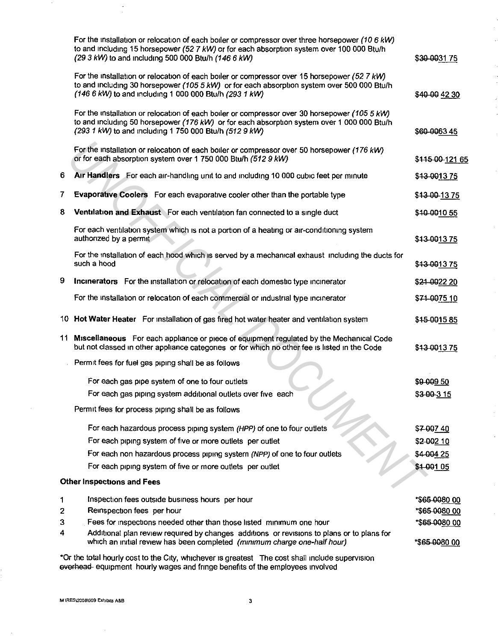|   | For the installation or relocation of each boiler or compressor over three horsepower (10 6 kW)<br>to and including 15 horsepower (52 7 kW) or for each absorption system over 100 000 Btu/h<br>(29.3 kW) to and including 500 000 Btu/h (146.6 kW)  | \$30 0031 75                |
|---|------------------------------------------------------------------------------------------------------------------------------------------------------------------------------------------------------------------------------------------------------|-----------------------------|
|   | For the installation or relocation of each boiler or compressor over 15 horsepower (52.7 kW)<br>to and including 30 horsepower (105 5 kW) or for each absorption system over 500 000 Btu/h<br>(146 6 kW) to and including 1 000 000 Btu/h (293 1 kW) | \$40 00 42 30               |
|   | For the installation or relocation of each boiler or compressor over 30 horsepower (105 5 kW)<br>to and including 50 horsepower (176 kW) or for each absorption system over 1 000 000 Btu/h<br>(293 1 kW) to and mcluding 1 750 000 Btu/h (512 9 kW) | \$60-006345                 |
|   | For the installation or relocation of each boiler or compressor over 50 horsepower (176 kW)<br>or for each absorption system over 1 750 000 Btu/h (512 9 kW)                                                                                         | \$ <del>115 00 121</del> 65 |
| 6 | Air Handlers For each air-handling unit to and including 10 000 cubic feet per minute                                                                                                                                                                | \$ <del>13 0013 75</del>    |
| 7 | Evaporative Coolers For each evaporative cooler other than the portable type                                                                                                                                                                         | \$43 00 13 75               |
| 8 | Ventilation and Exhaust For each ventilation fan connected to a single duct                                                                                                                                                                          | \$40 0010 55                |
|   | For each ventilation system which is not a portion of a heating or air-conditioning system<br>authorized by a permit                                                                                                                                 | \$43-001375                 |
|   | For the installation of each hood which is served by a mechanical exhaust including the ducts for<br>such a hood                                                                                                                                     | \$43 0013 75                |
| 9 | Incinerators For the installation or relocation of each domestic type incinerator                                                                                                                                                                    | \$24-0022 20                |
|   | For the installation or relocation of each commercial or industrial type incinerator                                                                                                                                                                 | \$74-0075 10                |
|   | 10 Hot Water Heater For installation of gas fired hot water heater and ventilation system                                                                                                                                                            | \$45-001585                 |
|   | 11 Miscellaneous For each appliance or piece of equipment regulated by the Mechanical Code<br>but not classed in other appliance categories or for which no other fee is listed in the Code                                                          | \$43 0013 75                |
|   | Permit fees for fuel gas piping shall be as follows                                                                                                                                                                                                  |                             |
|   | For each gas pipe system of one to four outlets                                                                                                                                                                                                      | \$9 009 50                  |
|   | For each gas piping system additional outlets over five each                                                                                                                                                                                         | \$3-00-315                  |
|   | Permit fees for process piping shall be as follows                                                                                                                                                                                                   |                             |
|   | For each hazardous process piping system (HPP) of one to four outlets                                                                                                                                                                                | \$700740                    |
|   | For each piping system of five or more outlets per outlet                                                                                                                                                                                            | \$2 002 10                  |
|   | For each non hazardous process piping system (NPP) of one to four outlets                                                                                                                                                                            | \$4-004 25                  |
|   | For each piping system of five or more outlets per outlet                                                                                                                                                                                            | \$4-001 05                  |
|   | <b>Other Inspections and Fees</b>                                                                                                                                                                                                                    |                             |
| 1 | Inspection fees outside business hours per hour                                                                                                                                                                                                      | *\$65 0080 00               |
| 2 | Reinspection fees per hour                                                                                                                                                                                                                           | *\$65-0080.00               |
| 3 | Fees for inspections needed other than those listed minimum one hour                                                                                                                                                                                 | *\$65 0080 00               |
| 4 | Additional plan review required by changes additions or revisions to plans or to plans for<br>which an initial review has been completed (minimum charge one-half hour)                                                                              | *\$65-0080.00               |
|   |                                                                                                                                                                                                                                                      |                             |

\*Or the total hourly cost to the City, whichever 1s greatest The cost shall include supervision everhead equipment hourly wages and fringe benefits of the employees involved

 $\hat{\boldsymbol{\beta}}$ 

 $\sim$ 

 $\frac{1}{\sqrt{2}}$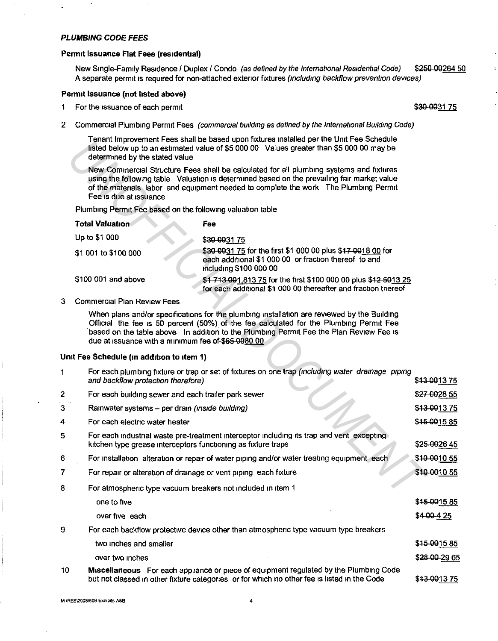#### **PLUMBING CODE FEES**

#### **Permit Issuance Flat Fees (residential)**

New Single-Family Residence / Duplex / Condo (as defined by the International Residential Code) \$250-00264 50 A separate permit is required for non-attached exterior fixtures (including backflow prevention devices)

#### **Penmt Issuance (not hsted above)**

- 1 For the issuance of each permit
- 2 Commercial Plumbing Permit Fees (commercial building as defined by the International Building Code)

Tenant Improvement Fees shall be based upon fixtures installed per the Unit Fee Schedule listed below up to an estimated value of \$5 000 00 Values greater than \$5 000 00 *may* be determined by the stated value

| Total Valuation      | Fee                                                                                                                                            |
|----------------------|------------------------------------------------------------------------------------------------------------------------------------------------|
| Up to \$1 000        | \$30-003175                                                                                                                                    |
| \$1 001 to \$100 000 | \$30-0031 75 for the first \$1 000 00 plus \$17 0018 00 for<br>each additional \$1 000 00 or fraction thereof to and<br>including \$100 000 00 |
| \$100 001 and above  | \$1 713 001,813 75 for the first \$100 000 00 plus \$12 5013 25<br>for each additional \$1 000 00 thereafter and fraction thereof              |

#### 3 Commercial Plan Review Fees

#### **Umt Fee Schedule (in addition to item 1)**

|    | i eritarit improvement Hees sitali de based upon nxiures installed per the Onlit Hee Schedule<br>listed below up to an estimated value of \$5 000 00 Values greater than \$5 000 00 may be<br>determined by the stated value                                                                             |                                                                                                                                                                                                                                                                                 |               |  |
|----|----------------------------------------------------------------------------------------------------------------------------------------------------------------------------------------------------------------------------------------------------------------------------------------------------------|---------------------------------------------------------------------------------------------------------------------------------------------------------------------------------------------------------------------------------------------------------------------------------|---------------|--|
|    | New Commercial Structure Fees shall be calculated for all plumbing systems and fixtures<br>using the following table Valuation is determined based on the prevailing fair market value<br>of the materials labor and equipment needed to complete the work The Plumbing Permit<br>Fee is due at issuance |                                                                                                                                                                                                                                                                                 |               |  |
|    | Plumbing Permit Fee based on the following valuation table                                                                                                                                                                                                                                               |                                                                                                                                                                                                                                                                                 |               |  |
|    | <b>Total Valuation</b>                                                                                                                                                                                                                                                                                   | Fee                                                                                                                                                                                                                                                                             |               |  |
|    | Up to \$1 000                                                                                                                                                                                                                                                                                            | \$30 0031 75                                                                                                                                                                                                                                                                    |               |  |
|    | \$1 001 to \$100 000                                                                                                                                                                                                                                                                                     | \$30-0031 75 for the first \$1 000 00 plus \$47 0018 00 for<br>each additional \$1 000 00 or fraction thereof to and<br>including \$100 000 00                                                                                                                                  |               |  |
|    | \$100 001 and above                                                                                                                                                                                                                                                                                      | \$1,713-001,813.75 for the first \$100,000,00 plus \$12,5013.25<br>for each additional \$1 000 00 thereafter and fraction thereof                                                                                                                                               |               |  |
| 3  | <b>Commercial Plan Review Fees</b>                                                                                                                                                                                                                                                                       |                                                                                                                                                                                                                                                                                 |               |  |
|    | due at issuance with a minimum fee of-\$65-0080.00                                                                                                                                                                                                                                                       | When plans and/or specifications for the plumbing installation are reviewed by the Building<br>Official the fee is 50 percent (50%) of the fee calculated for the Plumbing Permit Fee<br>based on the table above In addition to the Plumbing Permit Fee the Plan Review Fee is |               |  |
|    | Unit Fee Schedule (in addition to item 1)                                                                                                                                                                                                                                                                |                                                                                                                                                                                                                                                                                 |               |  |
| 1  | and backflow protection therefore)                                                                                                                                                                                                                                                                       | For each plumbing fixture or trap or set of fixtures on one trap (including water drainage piping                                                                                                                                                                               | \$43-001375   |  |
| 2  | For each building sewer and each trailer park sewer                                                                                                                                                                                                                                                      |                                                                                                                                                                                                                                                                                 | \$27 00 28 55 |  |
| 3  | \$43-001375<br>Rainwater systems - per drain (inside building)                                                                                                                                                                                                                                           |                                                                                                                                                                                                                                                                                 |               |  |
| 4  | For each electric water heater                                                                                                                                                                                                                                                                           |                                                                                                                                                                                                                                                                                 | \$45-001585   |  |
| 5  | For each industrial waste pre-treatment interceptor including its trap and vent excepting<br>kitchen type grease interceptors functioning as fixture traps<br>\$25-0026 45                                                                                                                               |                                                                                                                                                                                                                                                                                 |               |  |
| 6  | For installation alteration or repair of water piping and/or water treating equipment each                                                                                                                                                                                                               |                                                                                                                                                                                                                                                                                 | \$40-0010 55  |  |
| 7  | For repair or alteration of drainage or vent piping each fixture                                                                                                                                                                                                                                         |                                                                                                                                                                                                                                                                                 | \$40-0010 55  |  |
| 8  | For atmospheric type vacuum breakers not included in item 1                                                                                                                                                                                                                                              |                                                                                                                                                                                                                                                                                 |               |  |
|    | one to five                                                                                                                                                                                                                                                                                              |                                                                                                                                                                                                                                                                                 | \$45-001585   |  |
|    | over five each                                                                                                                                                                                                                                                                                           |                                                                                                                                                                                                                                                                                 | \$4 00 4 25   |  |
| 9  |                                                                                                                                                                                                                                                                                                          | For each backflow protective device other than atmospheric type vacuum type breakers                                                                                                                                                                                            |               |  |
|    | two inches and smaller                                                                                                                                                                                                                                                                                   |                                                                                                                                                                                                                                                                                 | \$45 0015 85  |  |
|    | over two inches                                                                                                                                                                                                                                                                                          |                                                                                                                                                                                                                                                                                 | \$28 00 29 65 |  |
| 10 | Miscellaneous For each appliance or piece of equipment regulated by the Plumbing Code<br>\$43-001375<br>but not classed in other fixture categories or for which no other fee is listed in the Code                                                                                                      |                                                                                                                                                                                                                                                                                 |               |  |

\$30-0031 75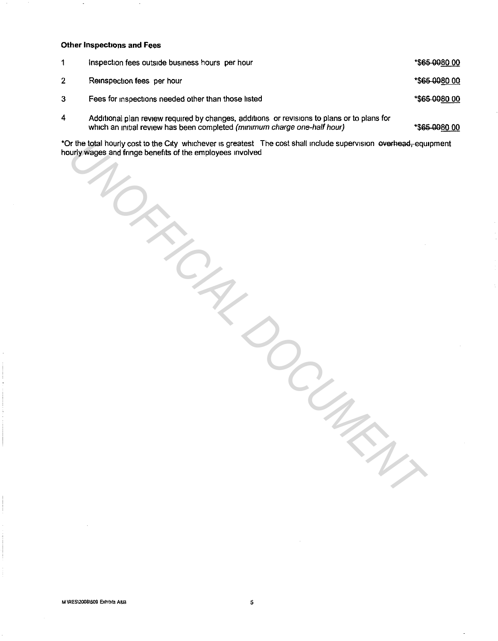### **Other Inspections and Fees**

|   | inspection fees outside business hours per hour                                                                                                                          | *\$65-0080.00 |
|---|--------------------------------------------------------------------------------------------------------------------------------------------------------------------------|---------------|
| 2 | Reinspection fees per hour                                                                                                                                               | *\$65 0080 00 |
| 3 | Fees for inspections needed other than those listed                                                                                                                      | *\$65 0080 00 |
| 4 | Additional plan review required by changes, additions or revisions to plans or to plans for<br>which an initial review has been completed (minimum charge one-half hour) | *\$65-0080 00 |

\*Or the total hourly cost to the City whichever is greatest The cost shall include supervision everhead, equipment hourly wages and fringe benefits of the employees involved

*UNOFFICIAL DOCUMENT*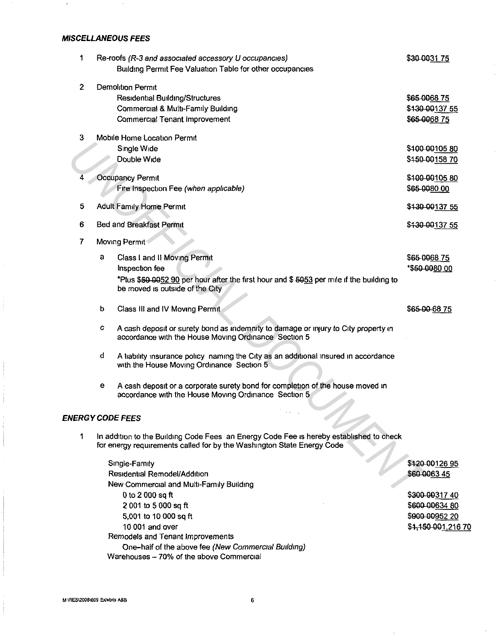# **MISCELLANEOUS FEES**

| 1              |               |   | Re-roofs (R-3 and associated accessory U occupancies)                                                                                                             | \$30 0031 75   |
|----------------|---------------|---|-------------------------------------------------------------------------------------------------------------------------------------------------------------------|----------------|
|                |               |   | Building Permit Fee Valuation Table for other occupancies                                                                                                         |                |
| $\mathbf{2}$   |               |   | <b>Demolition Permit</b>                                                                                                                                          |                |
|                |               |   | Residential Building/Structures                                                                                                                                   | \$65 0068 75   |
|                |               |   | Commercial & Multi-Family Building                                                                                                                                | \$430 00137 55 |
|                |               |   | Commercial Tenant Improvement                                                                                                                                     | \$65-006875    |
| 3              |               |   | Mobile Home Location Permit                                                                                                                                       |                |
|                |               |   | Single Wide                                                                                                                                                       | \$400-0010580  |
|                |               |   | Double Wide                                                                                                                                                       | \$450-00158 70 |
| 4              |               |   | Occupancy Permit                                                                                                                                                  | \$400-0010580  |
|                |               |   | Fire Inspection Fee (when applicable)                                                                                                                             | \$65-0080.00   |
| 5              |               |   | Adult Family Home Permit                                                                                                                                          | \$430-00137 55 |
| 6              |               |   | Bed and Breakfast Permit                                                                                                                                          | \$430 00137 55 |
| $\overline{7}$ | Moving Permit |   |                                                                                                                                                                   |                |
|                |               | а | Class I and II Moving Permit                                                                                                                                      | \$65 0068 75   |
|                |               |   | <b>Inspection fee</b>                                                                                                                                             | *\$50 0080 00  |
|                |               |   | *Plus \$50 0052 90 per hour after the first hour and \$ 5053 per mile if the building to<br>be moved is outside of the City                                       |                |
|                |               | b | Class III and IV Moving Permit                                                                                                                                    | \$65-00-6875   |
|                |               | с | A cash deposit or surety bond as indemnity to damage or injury to City property in<br>accordance with the House Moving Ordinance Section 5                        |                |
|                |               | d | A liability insurance policy naming the City as an additional insured in accordance<br>with the House Moving Ordinance Section 5                                  |                |
|                |               | е | A cash deposit or a corporate surety bond for completion of the house moved in<br>accordance with the House Moving Ordinance Section 5                            |                |
|                |               |   | <b>ENERGY CODE FEES</b>                                                                                                                                           |                |
| 1              |               |   | In addition to the Building Code Fees an Energy Code Fee is hereby established to check<br>for energy requirements called for by the Washington State Energy Code |                |
|                |               |   | Single-Family                                                                                                                                                     | \$420 00126 95 |
|                |               |   | Residential Remodel/Addition                                                                                                                                      | \$60 0063 45   |
|                |               |   | New Commercial and Multi-Family Building                                                                                                                          |                |
|                |               |   | 0 to 2 000 sq ft                                                                                                                                                  | \$300-0031740  |

\$300-00317 40 \$600-00634 80 \$900-00952 20 \$1,150 001,216 70

2 001 to 5 000 sq ft 5,001 to 10 000 sq ft 10 001 and over

Remodels and Tenant Improvements

Warehouses - 70% of the above Commercial

One-half of the above fee (New Commercial Building)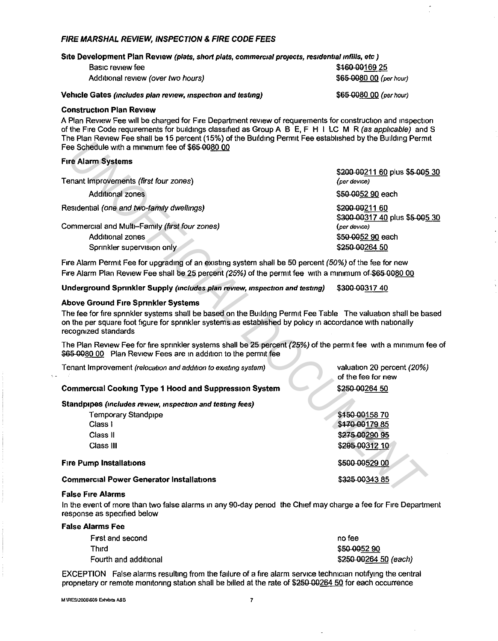### FIRE MARSHAL REVIEW, INSPECTION & FIRE CODE FEES

Site Development Plan Review (plats, short plats, commercial projects, residential infills, etc.)

| \$460-00169 25          |
|-------------------------|
| \$65-0080.00 (per hour) |
|                         |

\$65 0080 00 (per hour)

Vehicle Gates (includes plan review, inspection and testing)

#### Construction Plan Review

A Plan Review Fee will be charged for Fire Department review of requirements for construction and inspection of the Fire Code requirements for buildings classified as Group A B E, F H I LC M R (as applicable) and S The Plan Review Fee shall be 15 percent (15%) of the Building Permit Fee established by the Building Permit Fee Schedule with a minimum fee of \$65,0080.00

### Fire Alarm Systems

| First Light review I ac shall be to belocite (to M) or the pailurity Former ac caracteristica by the pailurity Former<br>Fee Schedule with a minimum fee of \$65,0080.00                                                                                                                                                                                                                                               |                                                                      |
|------------------------------------------------------------------------------------------------------------------------------------------------------------------------------------------------------------------------------------------------------------------------------------------------------------------------------------------------------------------------------------------------------------------------|----------------------------------------------------------------------|
| <b>Fire Alarm Systems</b>                                                                                                                                                                                                                                                                                                                                                                                              |                                                                      |
| Tenant Improvements (first four zones)                                                                                                                                                                                                                                                                                                                                                                                 | \$200-00211 60 plus \$5-005 30<br>(per device)                       |
| <b>Additional zones</b>                                                                                                                                                                                                                                                                                                                                                                                                | \$50 0052 90 each                                                    |
| Residential (one and two-family dwellings)                                                                                                                                                                                                                                                                                                                                                                             | \$200-00211 60<br>\$300-00317 40 plus \$5-005 30                     |
| Commercial and Multi-Family (first four zones)<br>Additional zones<br>Sprinkler supervision only                                                                                                                                                                                                                                                                                                                       | (per device)<br>\$50-0052 90 each<br>\$250-00264 50                  |
| Fire Alarm Permit Fee for upgrading of an existing system shall be 50 percent (50%) of the fee for new<br>Fire Alarm Plan Review Fee shall be 25 percent (25%) of the permit fee with a minimum of \$65-0080 00                                                                                                                                                                                                        |                                                                      |
| Underground Sprinkler Supply (includes plan review, inspection and testing)                                                                                                                                                                                                                                                                                                                                            | \$300-0031740                                                        |
| <b>Above Ground Fire Sprinkler Systems</b><br>The fee for fire sprinkler systems shall be based on the Building Permit Fee Table The valuation shall be based<br>on the per square foot figure for sprinkler systems as established by policy in accordance with nationally<br>recognized standards<br>The Plan Review Fee for fire sprinkler systems shall be 25 percent (25%) of the permit fee with a minimum fee o |                                                                      |
| \$65,0080,00 Plan Review Fees are in addition to the permit fee                                                                                                                                                                                                                                                                                                                                                        |                                                                      |
| Tenant Improvement (relocation and addition to existing system)                                                                                                                                                                                                                                                                                                                                                        | valuation 20 percent (20%)<br>of the fee for new                     |
| <b>Commercial Cooking Type 1 Hood and Suppression System</b>                                                                                                                                                                                                                                                                                                                                                           | \$250-00264 50                                                       |
| Standpipes (includes review, inspection and testing fees)                                                                                                                                                                                                                                                                                                                                                              |                                                                      |
| <b>Temporary Standpipe</b><br>Class I<br>Class II<br>Class III                                                                                                                                                                                                                                                                                                                                                         | \$450 00158 70<br>\$470-00179 85<br>\$275 00290 95<br>\$295 00312 10 |
| <b>Fire Pump Installations</b>                                                                                                                                                                                                                                                                                                                                                                                         | \$500 00529 00                                                       |
| <b>Commercial Power Generator Installations</b>                                                                                                                                                                                                                                                                                                                                                                        | \$325-00343 85                                                       |
| <b>False Fire Alarms</b>                                                                                                                                                                                                                                                                                                                                                                                               |                                                                      |

#### Above Ground Fire Sprinkler Systems

#### Commercial Cooking Type 1 Hood and Suppression System

| Temporary Standpipe                             | \$450 00158 70 |
|-------------------------------------------------|----------------|
| Class i                                         | \$470-00179 85 |
| Class II                                        | \$275 00290 95 |
| Class III                                       | \$295 00312 10 |
| <b>Fire Pump Installations</b>                  | \$500 00529 00 |
| <b>Commercial Power Generator Installations</b> | \$325-00343 85 |

#### False Fire Alarms

In the event of more than two false alarms in any 90-day period the Chief may charge a fee for Fire Department response as specified below

| <b>False Alarms Fee</b> |                       |  |
|-------------------------|-----------------------|--|
| First and second        | no fee                |  |
| Third                   | \$50-005290           |  |
| Fourth and additional   | \$250 00264 50 (each) |  |

EXCEPTION False alarms resulting from the failure of a fire alarm service technician notifying the central proprietary or remote monitoring station shall be billed at the rate of \$250-00264 50 for each occurrence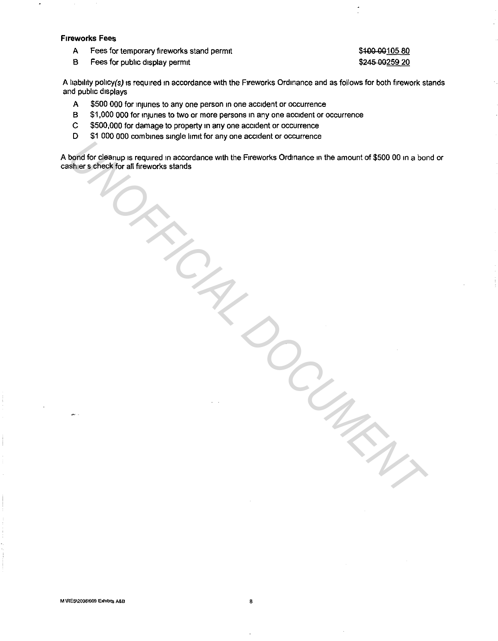#### **Fireworks** Fees

A Fees for temporary fireworks stand permit

# B Fees for public display permit

# \$100 00105 80 \$245 00259 20

A liability policy(s) is required in accordance with the Fireworks Ordinance and as follows for both firework stands and public displays

- A \$500 000 for injuries to any one person in one accident or occurrence
- B \$1,000 000 for injuries to two or more persons in any one accident or occurrence
- C \$500,000 for damage to property in any one accident or occurrence
- D \$1 000 000 combines single limit for any one accident or occurrence

A bond for cleanup 1s required in accordance with the Fireworks Ordinance in the amount of \$500 00 in a bond or cashier s check for all fireworks stands bond for clean<sub>tip</sub> is required in accordance with the Fireworks Ordinance in the amount of \$500.00 in a bortistic affiltreworks stands.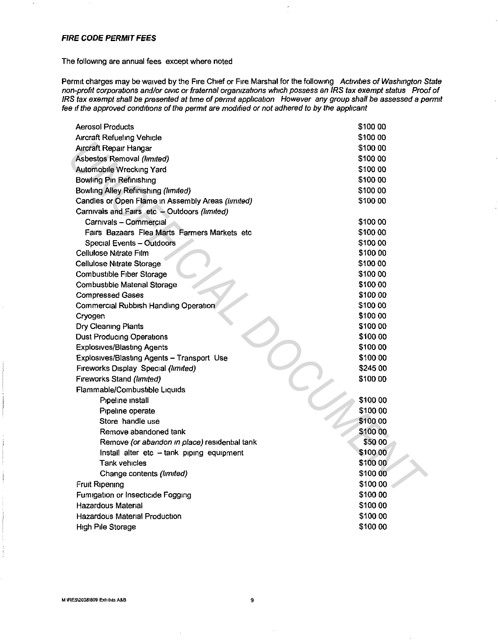### **FIRE CODE PERMIT FEES**

### The following are annual fees except where noted

Permit charges may be waived by the Fire Chief or Fire Marshal for the following Activities of Washington State non-profit corporations and/or civic or fraternal organizations which possess an IRS tax exempt status Proof of IRS tax exempt shall be presented at time of permit application However any group shall be assessed a permit fee if the approved conditions of the permit are modified or not adhered to by the applicant

| <b>Aerosol Products</b>                           | \$100 00 |
|---------------------------------------------------|----------|
| Aircraft Refueling Vehicle                        | \$100.00 |
| Aircraft Repair Hangar                            | \$100 00 |
| Asbestos Removal (limited)                        | \$100 00 |
| Automobile Wrecking Yard                          | \$100 00 |
| <b>Bowling Pin Refinishing</b>                    | \$100 00 |
| Bowling Alley Refinishing (limited)               | \$100 00 |
| Candles or Open Flame in Assembly Areas (limited) | \$100 00 |
| Carnivals and Fairs etc - Outdoors (limited)      |          |
| Carnivals - Commercial                            | \$100 00 |
| Fairs Bazaars Flea Marts Farmers Markets etc.     | \$100 00 |
| Special Events - Outdoors                         | \$100 00 |
| Cellulose Nitrate Film                            | \$100.00 |
| <b>Cellulose Nitrate Storage</b>                  | \$100 00 |
| Combustible Fiber Storage                         | \$100.00 |
| Combustible Material Storage                      | \$100 00 |
| <b>Compressed Gases</b>                           | \$100 00 |
| Commercial Rubbish Handling Operation             | \$100.00 |
| Cryogen                                           | \$100 00 |
| Dry Cleaning Plants                               | \$100 00 |
| Dust Producing Operations                         | \$100 00 |
| <b>Explosives/Blasting Agents</b>                 | \$100 00 |
| Explosives/Blasting Agents - Transport Use        | \$100 00 |
| Fireworks Display Special (limited)               | \$245 00 |
| Fireworks Stand (limited)                         | \$100 00 |
| Flammable/Combustible Liquids                     |          |
| Pipeline install                                  | \$100 00 |
| Pipeline operate                                  | \$100 00 |
| Store handle use                                  | \$100.00 |
| Remove abandoned tank                             | \$100 00 |
| Remove (or abandon in place) residential tank     | \$50 00  |
| Install alter etc - tank piping equipment         | \$100.00 |
| Tank vehicles                                     | \$100 00 |
| Change contents (limited)                         | \$100 00 |
| Fruit Ripening                                    | \$100 00 |
| Fumigation or Insecticide Fogging                 | \$100 00 |
| Hazardous Material                                | \$100 00 |
| <b>Hazardous Material Production</b>              | \$100 00 |
| High Pile Storage                                 | \$100 00 |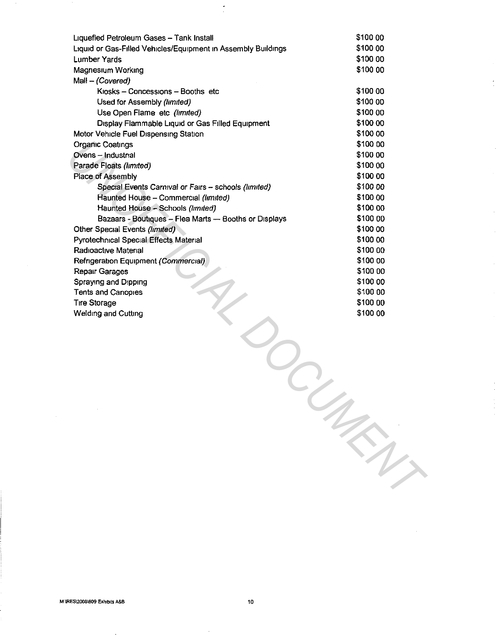| Liquefied Petroleum Gases - Tank Install                      | \$100 00 |
|---------------------------------------------------------------|----------|
| Liquid or Gas-Filled Vehicles/Equipment in Assembly Buildings | \$100 00 |
| <b>Lumber Yards</b>                                           | \$100 00 |
| Magnesium Working                                             | \$100 00 |
| Mall - (Covered)                                              |          |
| Kiosks - Concessions - Booths etc                             | \$100 00 |
| Used for Assembly (limited)                                   | \$100 00 |
| Use Open Flame etc (limited)                                  | \$100 00 |
| Display Flammable Liquid or Gas Filled Equipment              | \$100 00 |
| Motor Vehicle Fuel Dispensing Station                         | \$100 00 |
| <b>Organic Coatings</b>                                       | \$100 00 |
| Ovens - Industrial                                            | \$100 00 |
| Parade Floats (limited)                                       | \$100 00 |
| Place of Assembly                                             | \$100 00 |
| Special Events Carnival or Fairs - schools (limited)          | \$100 00 |
| Haunted House - Commercial (limited)                          | \$100.00 |
| Haunted House - Schools (limited)                             | \$100 00 |
| Bazaars - Boutiques - Flea Marts - Booths or Displays         | \$100 00 |
| Other Special Events (limited)                                | \$100 00 |
| Pyrotechnical Special Effects Material                        | \$100 00 |
| Radioactive Material                                          | \$100 00 |
| Refrigeration Equipment (Commercial)                          | \$100 00 |
| <b>Repair Garages</b>                                         | \$100 00 |
| Spraying and Dipping                                          | \$100 00 |
| Tents and Canopies                                            | \$100 00 |
| <b>Tire Storage</b>                                           | \$100 00 |
| Welding and Cutting                                           | \$100 00 |
|                                                               |          |
|                                                               |          |
|                                                               |          |
|                                                               |          |
|                                                               |          |
|                                                               |          |
|                                                               |          |
|                                                               |          |
|                                                               |          |
|                                                               |          |
|                                                               |          |
|                                                               |          |
|                                                               |          |
|                                                               |          |
|                                                               |          |
|                                                               |          |
|                                                               |          |
|                                                               |          |

 $\ddot{\cdot}$ 

 $\bar{a}$ 

 $\hat{\boldsymbol{\beta}}$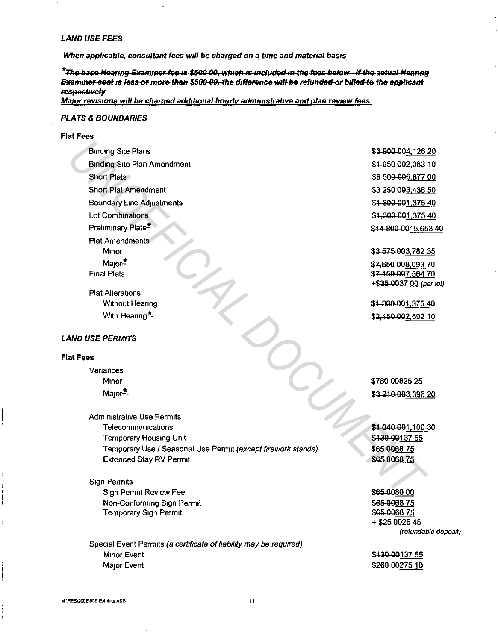#### **LAND USE FEES**

When applicable, consultant fees will be charged on a time and material basis

\*The base Hearing Examiner fee is \$500 00, which is included in the fees below If the actual Hearing Examiner cost is less or more than \$500-00, the difference will be refunded or billed to the applicant respectively-

Major revisions will be charged additional hourly administrative and plan review fees

#### **PLATS & BOUNDARIES**

#### **Flat Fees**

**Binding Site Plans Binding Site Plan Amendment Short Plats Short Plat Amendment Boundary Line Adjustments** Lot Combinations Preliminary Plats<sup>\*</sup> **Plat Amendments** Minor Maior $\pm$ **Final Plats** 

**Plat Alterations Without Hearing** With Hearing\*

#### **LAND USE PERMITS**

#### **Flat Fees**

Variances Minor Major<sup>\*</sup>-

**Administrative Use Permits** Telecommunications Temporary Housing Unit Temporary Use / Seasonal Use Permit (except firework stands) **Extended Stay RV Permit** 

#### **Sign Permits**

Sign Permit Review Fee Non-Conforming Sign Permit **Temporary Sign Permit** 

Special Event Permits (a certificate of liability may be required) Minor Event Major Event

\$3 900 004,126 20 \$4-950-002,063 10 \$6 500 006,877 00 \$3 250 003,438 50 \$4 300 001,375 40 \$4,300-001,375 40 \$44 800 0015,658 40

\$3-575-003,782 35 \$7,650 008,093 70

\$7 150 007,564 70 +\$35-0037 00 (per lot)

\$1 300 001,375 40 \$2,450 002,592 10

\$780-00825 25 \$3-240-003,396 20

\$1 040 001,100 30 \$430-00137 55 \$65-006875 \$65 0068 75

\$65 0080 00 \$65-006875 \$65-006875 + \$25 0026 45 (refundable deposit)

\$430-00137.55 \$260 00275 10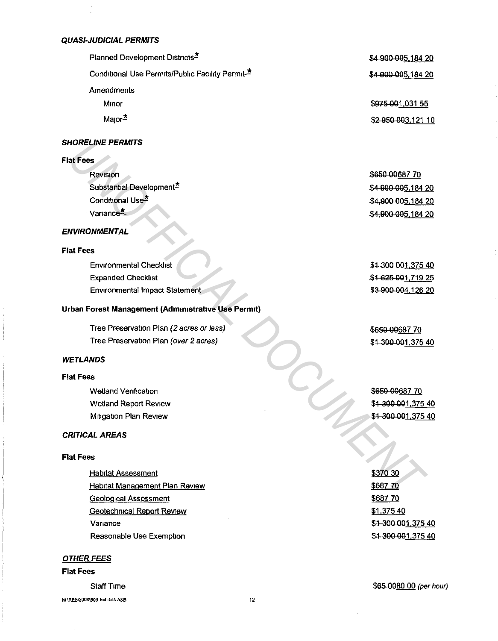### **QUASI-JUDICIAL PERMITS**

| Planned Development Districts <sup>2</sup>                   | \$4 900 005,184 20 |
|--------------------------------------------------------------|--------------------|
| Conditional Use Permits/Public Facility Permit. <sup>*</sup> | \$4 900 005,184 20 |
| Amendments                                                   |                    |
| Minor                                                        | \$975-001,031 55   |
| $M$ ajor $\ddot{=}$                                          | \$2 950 003,121 10 |

# **SHORELINE PERMITS**

### **Flat Fees**

| HORELINE PERMITS                                   |                    |
|----------------------------------------------------|--------------------|
| at Fees                                            |                    |
| Revision                                           | \$650 00687 70     |
| Substantial Development <sup>*</sup>               | \$4-900-005,184 20 |
| Conditional Use <sup>*</sup>                       | \$4,800 005,184 20 |
| Variance <sup>*</sup>                              | \$4,800 005,184 20 |
| NVIRONMENTAL                                       |                    |
| at Fees                                            |                    |
| <b>Environmental Checklist</b>                     | \$4-300-001,375 40 |
| <b>Expanded Checklist</b>                          | \$4 625 001 719 25 |
| <b>Environmental Impact Statement</b>              | \$3-900-004,126 20 |
| rban Forest Management (Administrative Use Permit) |                    |
| Tree Preservation Plan (2 acres or less)           | \$650 00687 70     |
| Tree Preservation Plan (over 2 acres)              | \$4 300 001,375 40 |
| <b>ETLANDS</b>                                     |                    |
| at Fees                                            |                    |
| Wetland Verification                               | \$650-00687 70     |
| Wetland Report Review                              | \$4 300 001,375 40 |
| Mitigation Plan Review                             | \$4-300-001,375-40 |
| RITICAL AREAS                                      |                    |
| at Fees                                            |                    |
| <b>Habitat Assessment</b>                          | \$370 30           |
| <b>Habitat Management Plan Review</b>              | \$68770            |
| Geological Assessment.                             | S687 70            |

# **ENVIRONMENTAL**

#### **Flat Fees**

| <b>Environmental Checklist</b>        | \$1-300-001,375 40 |
|---------------------------------------|--------------------|
| <b>Expanded Checklist</b>             | \$1625001.71925    |
| <b>Environmental Impact Statement</b> | \$3-900-004,126 20 |

# **Urban Forest Management (Administrative Use Permit)**

# **WETLANDS**

### **Flat Fees**

# **CRITICAL AREAS**

### **Flat Fees**

**Habitat Assessment Habitat Management Plan Review** Geological Assessment Geotechnical Report Review Variance Reasonable Use Exemption

#### **OTHER FEES**

#### **Flat Fees**

Staff Time

**M \RES\2008\609 Exhibits A&B 12** 

\$370 30 \$687 70 \$687 70 \$1,375 40 \$1 300 001,375 40 \$1 300 001 ,375 40

\$65-0080 00 (per hour)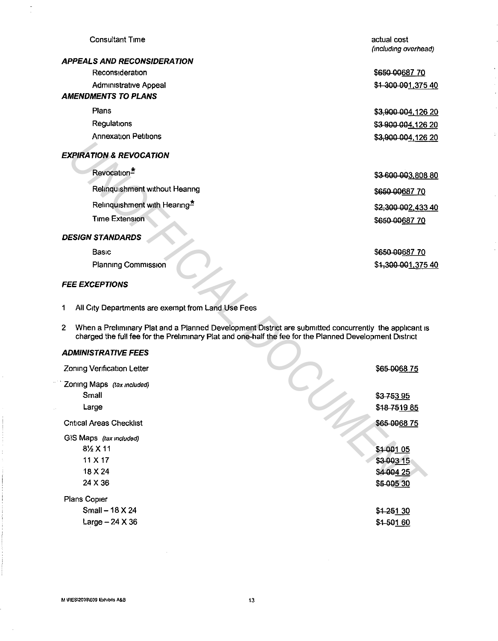#### Consultant Time

### **APPEALS AND RECONSIDERATION**

Reconsideration **Administrative Appeal** 

# **AMENDMENTS TO PLANS**

Plans **Regulations** Annexation Petitions

# **EXPIRATION & REVOCATION**

#### **DESIGN STANDARDS**

#### **FEE EXCEPTIONS**

#### **ADMINISTRATIVE FEES**

| <b>EXPIRATION &amp; REVOCATION</b>                                                                                                                                                                                                |                 |
|-----------------------------------------------------------------------------------------------------------------------------------------------------------------------------------------------------------------------------------|-----------------|
| Revocation <sup>*</sup>                                                                                                                                                                                                           | \$3-600-003,808 |
| Relinquishment without Hearing                                                                                                                                                                                                    | \$650 00687 70  |
| Relinquishment with Hearing*                                                                                                                                                                                                      | \$2,300 002,433 |
| <b>Time Extension</b>                                                                                                                                                                                                             | \$650 00687 70  |
| <b>DESIGN STANDARDS</b>                                                                                                                                                                                                           |                 |
| Basic                                                                                                                                                                                                                             | \$650-0068770   |
| Planning Commission                                                                                                                                                                                                               | \$1,300 001,375 |
| <b>FEE EXCEPTIONS</b>                                                                                                                                                                                                             |                 |
| 1<br>All City Departments are exempt from Land Use Fees                                                                                                                                                                           |                 |
| When a Preliminary Plat and a Planned Development District are submitted concurrently the applicant is<br>$\mathbf{2}$<br>charged the full fee for the Preliminary Plat and one-half the fee for the Planned Development District |                 |
| <b>ADMINISTRATIVE FEES</b>                                                                                                                                                                                                        |                 |
| Zoning Verification Letter                                                                                                                                                                                                        | \$65-0068 75    |
| Zoning Maps (tax included)                                                                                                                                                                                                        |                 |
| Small                                                                                                                                                                                                                             | \$375395        |
| Large                                                                                                                                                                                                                             | \$48 7519 85    |
| <b>Critical Areas Checklist</b>                                                                                                                                                                                                   | \$65-006875     |
| GIS Maps (tax included)                                                                                                                                                                                                           |                 |
| 81/ <sub>2</sub> X 11                                                                                                                                                                                                             | \$1-001 05      |
| 11 X 17                                                                                                                                                                                                                           | \$3-003 15      |
| 18 X 24                                                                                                                                                                                                                           | \$4 004 25      |
| 24 X 36                                                                                                                                                                                                                           | \$5-005 30      |
| Plans Copier                                                                                                                                                                                                                      |                 |
| Small - 18 X 24                                                                                                                                                                                                                   | \$1-251 30      |
| Large $-24$ X 36                                                                                                                                                                                                                  | \$1-501 60      |

actual cost (mcludmg overhead)

\$650 00687 70 \$1 300 001,375 40

\$3,000 004,126 20 \$3 900 004, 126 20 \$3,900 004,126 20

\$3 600 003,808 80

\$650 00687 70 \$2,3QQ QQ2.433 40

\$600-00687 70 \$1,300 001,375 40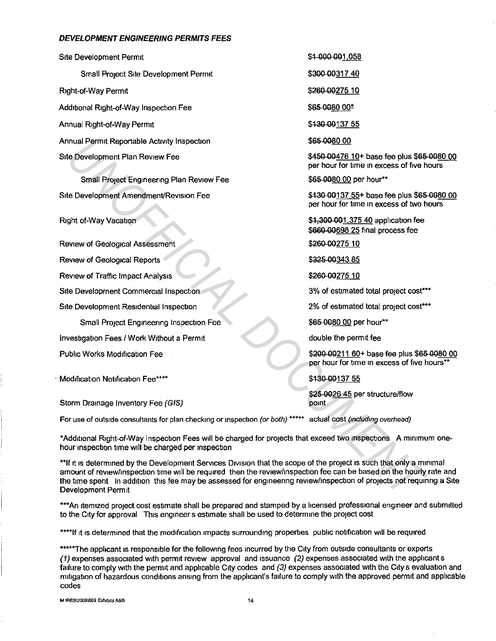#### **DEVELOPMENT ENGINEERING PERMITS FEES**

Site Development Permit Small Project Site Development Permit Right-of-Way Permit Additional Right-of-Way Inspection Fee Annual Right-of-Way Permit Annual Permit Reportable Activity Inspection Site Development Plan Review Fee

Small Project Engineering Plan Review Fee Site Development Amendment/Revision Fee

Right of-Way Vacation

Review of Geological Assessment Review of Geological Reports Review of Traffic Impact Analysis Site Development Commercial Inspection Site Development Residential Inspection Small Project Engineering Inspection Fee Investigation Fees / Work Without a Permit Thual Permit Reportable Activity inspection<br> **SEGUARD COMPRESS CORP (SEGUARD CONDITED ACTIVE SEGUARD CONDITED AND THE SEGUARD CONDITED AND CONDITED ANOTHER CONDITED AND CONDITED ANOTHER SEGUARD ON THE CONDITED AND CONDITE** 

Public Works Modification Fee

-- Modification Notification Fee\*\*\*\*

Storm Drainage Inventory Fee (GIS)

For use of outside consultants for plan checking or inspection (or both) \*\*\*\*\* actual cost (including overhead)

\*Additional Right-of-Way Inspection Fees will be charged for projects that exceed two inspections A minimum onehour inspection time will be charged per inspection

\*\*If it is determined by the Development Services Division that the scope of the project is such that only a minimal amount of review/inspection time will be required then the review/inspection fee can be based on the hourly rate and the time spent In addition this fee may be assessed for engineering review/inspection of projects not requiring a Site Development Permit

\*\*\*An itemized project cost estimate shall be prepared and stamped by a licensed professional engineer and submitted to the City for approval This engineers estimate shall be used to determine the project cost

\*\*\*\*If it is determined that the modification impacts surrounding properties public notification will be required

\*\*\*\*\*The applicant is responsible for the following fees incurred by the City from outside consultants or experts *(1)* expenses associated with permit review approval and issuance *(2)* expenses associated with the applicants failure to comply with the permit and applicable City codes and (3) expenses associated with the City s evaluation and mitigation of hazardous conditions arising from the applicant's failure to comply with the approved permit and applicable codes

**M \RES\2008\609 Exhibits A&B** 14

\$1,000.001.058 \$300-00317 40

\$200-00275 10

\$65-0080 00\*

\$430 00137 55

\$95-0080 00

\$450 00476 10+ base fee plus \$65 0080 00 per hour for time 1n excess of five hours

\$95-0080 00 per hour\*\*

\$430 00137 55+ base fee plus \$65 0080 00 per hour for lime m excess of two hours

\$4,300 001,375 40 application fee \$660-00698 25 final process fee

\$200-00275 10

\$325-00343 85

\$200-00275 10

3% of estimated total project cost\*\*\*

2% of estimated total project cost\*\*\*

\$65-0080.00 per hour\*\*

double the permit fee

\$200-00211 60+ base fee plus \$65-0080 00 per hour for time in excess of five hours\*\*

\$130 QQ137 55

\$25-0026 45 per structure/flow point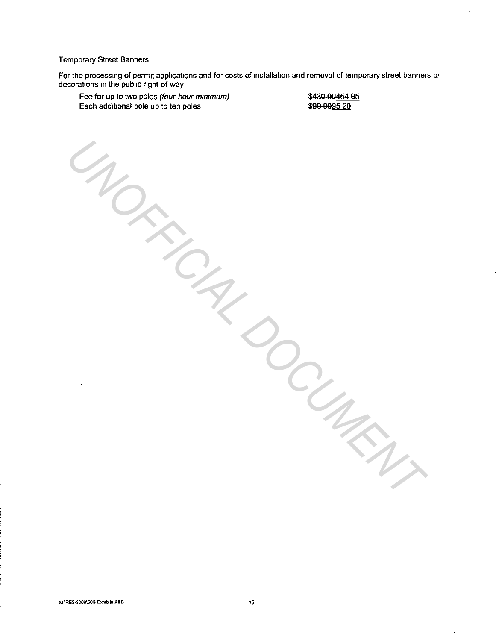### Temporary Street Banners

For the processing of permit applications and for costs of installation and removal of temporary street banners or decorations in the public right-of-way

MORR<sub>CIA</sub>R DOCUMENT

Fee for up to two poles (four-hour minimum) Each additional pole up to ten poles

\$430 00454 95 \$90-0095 20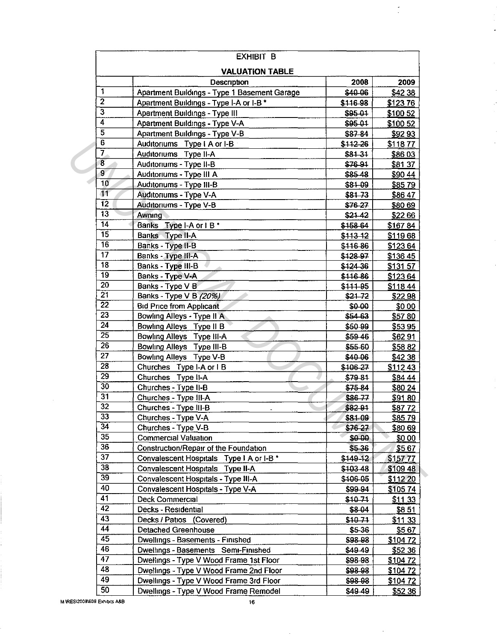|                 | <b>EXHIBIT B</b>                                   |             |                |
|-----------------|----------------------------------------------------|-------------|----------------|
|                 | <b>VALUATION TABLE</b><br>Description              | 2008        | 2009           |
| 1               | Apartment Buildings - Type 1 Basement Garage       | \$40-06     | \$42 38        |
| $\overline{2}$  | Apartment Buildings - Type I-A or I-B *            | \$116-98    | \$12376        |
| $\overline{3}$  | Apartment Buildings - Type III                     | \$95-01     | \$100 52       |
| $\overline{4}$  | Apartment Buildings - Type V-A                     | \$95.01     | \$100 52       |
| $\overline{5}$  | Apartment Buildings - Type V-B                     | \$87-84     | \$9293         |
| 6               | Auditoriums Type I A or I-B                        | \$112.26    | \$11877        |
| 7               | Auditoriums Type II-A                              | $$81-31$    | \$8603         |
| $\overline{8}$  | Auditoriums - Type II-B                            | \$76-91     | \$81 37        |
| 9               | Auditoriums - Type III A                           | \$85.48     | \$90 44        |
| $\overline{10}$ | Auditoriums - Type III-B                           | \$81-09     | \$8579         |
| $\overline{11}$ | Auditoriums - Type V-A                             | \$81.73     | \$8647         |
| $\overline{12}$ | Auditoriums - Type V-B                             | \$76-27     | \$80.69        |
| $\overline{13}$ | Awning                                             | \$21.42     | \$2266         |
| 14              | Banks Type I-A or I B*                             | \$158-64    | \$16784        |
| $\overline{15}$ | Banks Type II-A                                    | $$113-12$   | \$11968        |
| $\overline{16}$ | Banks - Type II-B                                  | \$116.86    | \$12364        |
| $\overline{17}$ | Banks - Type III-A                                 | \$128-97    | \$136 45       |
| $\overline{18}$ | Banks - Type III-B                                 | \$124-36    | \$13157        |
| $\overline{19}$ | Banks - Type V-A                                   | \$116.86    | \$12364        |
| $\overline{20}$ | Banks - Type V B                                   | \$111 95    | \$11844        |
| $\overline{21}$ | Banks - Type V B (20%)                             | \$21.72     | \$2298         |
| $\overline{22}$ | <b>Bid Price from Applicant</b>                    | \$0.00      | \$0.00         |
| $\overline{23}$ | Bowling Alleys - Type II A                         | \$54 63     | \$5780         |
| $\overline{24}$ | Bowling Alleys Type II B                           | \$50.99     | \$5395         |
| $\overline{25}$ | Bowling Alleys Type III-A                          | \$59.46     |                |
| $\overline{26}$ | Bowling Alleys Type III-B                          |             | \$6291         |
| $\overline{27}$ |                                                    | \$55-60     | \$58.82        |
| $\overline{28}$ | Bowling Alleys Type V-B                            | \$40.06     | \$4238         |
| $\overline{29}$ | Churches Type I-A or I B<br>Churches Type II-A     | \$106-27    | \$11243        |
| $\overline{30}$ |                                                    | \$79-81     | \$84 44        |
| $\overline{31}$ | Churches - Type II-B                               | \$75.84     | \$80 24        |
| $\overline{32}$ | Churches - Type III-A                              | \$8677      | \$91 80        |
| 33              | Churches - Type III-B                              | \$82 91     | \$8772         |
| $\overline{34}$ | Churches - Type V-A                                | \$81-09     | \$8579         |
| $\overline{35}$ | Churches - Type V-B<br><b>Commercial Valuation</b> | \$76.27     | \$80.69        |
| $\overline{36}$ |                                                    | \$0.00      | \$0 00         |
| $\overline{37}$ | Construction/Repair of the Foundation              | $$5-36$     | \$567          |
| $\overline{38}$ | Convalescent Hospitals Type I A or I-B *           | $$149 - 12$ | \$15777        |
| $\overline{39}$ | Convalescent Hospitals Type II-A                   | \$103.48    | \$109 48       |
|                 | Convalescent Hospitals - Type III-A                | \$106-05    | \$112 20       |
| 40              | Convalescent Hospitals - Type V-A                  | \$99 94     | \$10574        |
| $\overline{41}$ | Deck Commercial                                    | \$1071      | \$1133         |
| $\overline{42}$ | Decks - Residential                                | \$8-04      | \$851          |
| 43              | Decks / Patios (Covered)                           | $$10 - 71$  | \$11 33        |
| 44              | Detached Greenhouse                                | \$5-36      | \$567          |
| 45              | Dwellings - Basements - Finished                   | \$98-98     | \$10472        |
| 46              | Dwellings - Basements Semi-Finished                | \$49.49     | <u>\$52 36</u> |
| $\overline{47}$ | Dwellings - Type V Wood Frame 1st Floor            | \$98-98     | \$10472        |
| 48              | Dwellings - Type V Wood Frame 2nd Floor            | \$98-98     | \$10472        |
| 49              | Dwellings - Type V Wood Frame 3rd Floor            | \$98.98     | \$10472        |
| 50              | Dwellings - Type V Wood Frame Remodel              | \$49.49     | <u>\$5236</u>  |

 $\frac{1}{2}$ 

 $\sim$ 

 $\hat{\mathcal{A}}$ 

 $\hat{\boldsymbol{\beta}}$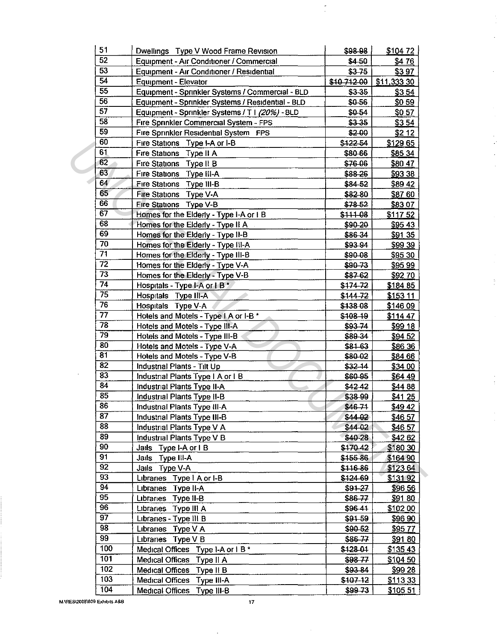| 51               | Dwellings Type V Wood Frame Revision              | \$98.98    | \$104 72        |
|------------------|---------------------------------------------------|------------|-----------------|
| $\overline{52}$  | Equipment - Air Conditioner / Commercial          | \$4-50     | \$476           |
| 53               | Equipment - Air Conditioner / Residential         | $$3 - 75$  | \$397           |
| $\overline{54}$  | <b>Equipment - Elevator</b>                       | \$10712-00 | \$11,333 30     |
| 55               | Equipment - Sprinkler Systems / Commercial - BLD  | \$3-35     | \$354           |
| 56               | Equipment - Sprinkler Systems / Residential - BLD | \$0-56     | \$059           |
| $\overline{57}$  | Equipment - Sprinkler Systems / T   (20%) - BLD   | \$0-54     | \$057           |
| 58               | Fire Sprinkler Commercial System - FPS            | \$3.35     | \$354           |
| 59               | Fire Sprinkler Residential System FPS             | \$200      | \$212           |
| 60               | Fire Stations Type I-A or I-B                     | \$122 54   | <u>\$129 65</u> |
| 61               | Fire Stations Type II A                           | \$80.66    | \$85 34         |
| 62               | Fire Stations Type II B                           | \$76-06    | \$80 47         |
| 63               | Fire Stations Type III-A                          | \$88.26    | \$93 38         |
| 64               | Fire Stations Type III-B                          | \$84-52    | \$89 42         |
| 65               | Fire Stations Type V-A                            | \$82-80    | \$87 60         |
| 66               | Fire Stations Type V-B                            | \$78-52    | \$83.07         |
| 67               | Homes for the Elderly - Type I-A or I B           | \$111-08   | \$11752         |
| 68               | Homes for the Elderly - Type II A                 | \$90-20    | \$9543          |
| 69               | Homes for the Elderly - Type II-B                 | \$86 34    | \$91 35         |
| 70               | Homes for the Elderly - Type III-A                | \$93-94    | \$99 39         |
| $\overline{71}$  | Homes for the Elderly - Type III-B                | \$90-08    | \$95 30         |
| $\overline{72}$  | Homes for the Elderly - Type V-A                  | \$90-73    | \$95 99         |
| $\overline{73}$  | Homes for the Elderly - Type V-B                  | \$87-62    | \$92.70         |
| $\overline{74}$  |                                                   |            |                 |
| $\overline{75}$  | Hospitals - Type I-A or I B *                     | \$174-72   | \$184 85        |
| $\overline{76}$  | Hospitals Type III-A                              | $$144-72$  | \$153 11        |
| $\overline{77}$  | Hospitals Type V-A                                | \$138-08   | \$146.09        |
| 78               | Hotels and Motels - Type I A or I-B *             | $$108-19$  | \$114 47        |
| 79               | Hotels and Motels - Type III-A                    | \$93-74    | <b>\$99 18</b>  |
| 80               | Hotels and Motels - Type III-B                    | \$89.34    | \$94 52         |
| 81               | Hotels and Motels - Type V-A                      | \$3163     | \$86 36         |
| 82               | Hotels and Motels - Type V-B                      | \$80-02    | \$84 66         |
| $\overline{83}$  | Industrial Plants - Tilt Up                       | \$32-14    | \$34 00         |
| 84               | Industrial Plants Type I A or I B                 | \$60 95    | \$64.49         |
| 85               | Industrial Plants Type II-A                       | \$4242     | \$4488          |
| $\overline{86}$  | Industrial Plants Type II-B                       | \$38.99    | \$41 25         |
|                  | Industrial Plants Type III-A                      | $$46 - 71$ | \$49 42         |
| 87               | Industrial Plants Type III-B                      | \$44 02    | \$46 57         |
| 88               | Industrial Plants Type V A                        | \$44 02    | \$46 57         |
| 89               | Industrial Plants Type V B                        | \$40-28    | \$42 62         |
| 90               | Jails Type I-A or IB                              | \$17042    | \$180 30        |
| $\overline{91}$  | Jails Type III-A                                  | \$155.86   | \$164 90        |
| 92               | Jails Type V-A                                    | \$116-86   | \$12364         |
| 93               | Libraries Type I A or I-B                         | \$12469    | \$13192         |
| $\overline{94}$  | Libraries Type II-A                               | $$91-27$   | \$96.56         |
| 95               | Libraries Type II-B                               | \$86-77    | \$91 80         |
| $\overline{96}$  | Libraries Type III A                              | \$9641     | \$102 00        |
| 97               | Libraries - Type III B                            | $$91-59$   | \$96 90         |
| 98               | Libraries Type V A                                | \$90.52    | \$9577          |
| 99               | Libraries Type V B                                | \$86-77    | \$91 80         |
| 100              | Medical Offices Type I-A or I B *                 | \$128-01   | \$13543         |
| $\overline{101}$ | Medical Offices Type II A                         | \$98-77    | \$104 50        |
| 102              | Medical Offices Type II B                         | \$93.84    | \$99 28         |
| 103              | Medical Offices Type III-A                        | \$107-12   | \$113 33        |
| 104              | Medical Offices Type III-B                        | $$99-73$   | \$105 51        |

 $\frac{1}{\sqrt{2}}$ 

M \RES\2008\609 Exhibits A&B

 $\sim$   $\sim$ 

 $\bar{\gamma}$ 

 $\sim$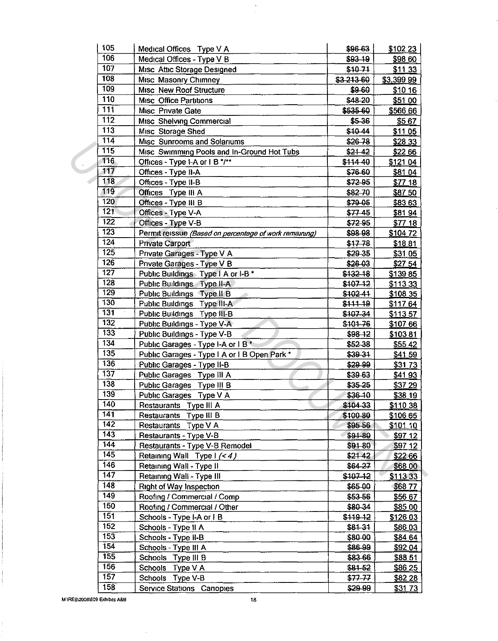| 105              | Medical Offices Type V A                               | \$96.63    | \$10223        |
|------------------|--------------------------------------------------------|------------|----------------|
| 106              | Medical Offices - Type V B                             | $$93-19$   | \$98.60        |
| 107              | Misc Attic Storage Designed                            | \$1071     | \$11 33        |
| $\overline{108}$ | Misc Masonry Chimney                                   | \$3.213.60 | \$3,399 99     |
| 109              | Misc New Roof Structure                                | \$9-60     | \$10,16        |
| 110              | Misc Office Partitions                                 | \$48-20    | \$51.00        |
| $\overline{111}$ | Misc Private Gate                                      | \$535.60   | \$566.66       |
| $\overline{112}$ | Misc Shelving Commercial                               | \$5-36     | \$567          |
| 113              | Misc Storage Shed                                      | \$1044     | \$11 05        |
| 114              | Misc Sunrooms and Solariums                            | \$26-78    | \$28 33        |
| 115              | Misc Swimming Pools and In-Ground Hot Tubs             | $$21-42$   | \$22.66        |
| 116              | Offices - Type I-A or I B */**                         | \$11440    | \$121 04       |
| 117              | Offices - Type II-A                                    | \$76.60    | \$81.04        |
| 118              | Offices - Type II-B                                    | \$72-95    | \$77.18        |
| 119              | Offices Type III A                                     | \$82-70    | \$87.50        |
| 120              | Offices - Type III B                                   | \$79-05    | \$83.63        |
| 121              | Offices - Type V-A                                     | \$77.45    | \$8194         |
| $\overline{122}$ | Offices - Type V-B                                     | \$7295     | \$7718         |
| $\overline{123}$ | Permit reissue (Based on percentage of work remaining) | \$98.98    | \$104 72       |
| $12\overline{4}$ | <b>Private Carport</b>                                 | \$17.78    | \$1881         |
| $\overline{125}$ | Private Garages - Type V A                             | \$29-35    | \$31 05        |
| 126              | Private Garages - Type V B                             | \$26.03    | \$27 54        |
| 127              | Public Buildings Type   A or I-B *                     | \$132-18   | \$13985        |
| 128              | Public Buildings Type II-A                             | \$107-12   | \$11333        |
| 129              | Public Buildings Type II B                             | \$10241    | \$108 35       |
| 130              | Public Buildings Type III-A                            | \$111 19   | \$11764        |
| 131              | Public Buildings Type III-B                            | \$107-34   | \$11357        |
| 132              | Public Buildings - Type V-A                            | \$10176    | \$107.66       |
| 133              | Public Buildings - Type V-B                            | $$98 - 12$ | \$10381        |
| 134              | Public Garages - Type I-A or I B*                      | \$52-38    | \$55.42        |
| 135              | Public Garages - Type I A or I B Open Park *           | \$39-31    | \$41 59        |
| 136              | Public Garages - Type II-B                             | \$29.99    | \$3173         |
| 137              | Public Garages Type III A                              | \$39.63    | \$4193         |
| 138              | Public Garages Type III B                              | $$35 - 25$ | \$37 29        |
| 139              | Public Garages Type V A                                | \$36-10    | \$38 19        |
| $\overline{140}$ | Restaurants Type III A                                 | \$104-33   | \$110 38       |
| 141              | Restaurants Type III B                                 | \$100-80   | \$106 65       |
| 142              | Restaurants Type V A                                   | \$95-56    | \$101 10       |
| 143              | Restaurants - Type V-B                                 | $$91-80$   | \$9712         |
| $\overline{144}$ | Restaurants - Type V-B Remodel                         | \$91-80    | \$97 12        |
| $14\overline{5}$ | Retaining Wall Type I (<4)                             | \$21.42    | \$22.66        |
| 146              | Retaining Wall - Type II                               | \$64-27    | \$68.00        |
| $\overline{147}$ | Retaining Wall - Type III                              | \$107-12   | \$113.33       |
| 148              | <b>Right of Way Inspection</b>                         | \$65.00    | \$6877         |
| 149              | Roofing / Commercial / Comp                            | \$53-56    | \$56.67        |
| 150              | Roofing / Commercial / Other                           | \$80-34    | \$85.00        |
| 15 <sub>1</sub>  | Schools - Type I-A or I B                              | \$119 12   | \$126.03       |
| 152              | Schools - Type II A                                    | \$8131     | <b>\$8603</b>  |
| 153              | Schools - Type II-B                                    | \$80.00    | \$84 64        |
| 154              | Schools - Type III A                                   | \$86-99    | \$92.04        |
| $\overline{155}$ | Schools Type III B                                     | \$83-66    | <b>\$88.51</b> |
| 156              | Schools Type V A                                       | \$81-52    | \$86.25        |
| 157              | Schools Type V-B                                       | \$77-77    | \$82 28        |
| 158              | Service Stations Canopies                              | \$29.99    | \$3173         |
|                  |                                                        |            |                |

 $\frac{1}{\sqrt{2}}$ 

M \RES\2008\609 Exhibits A&B

 $\bar{\gamma}$ 

 $\bar{ }$